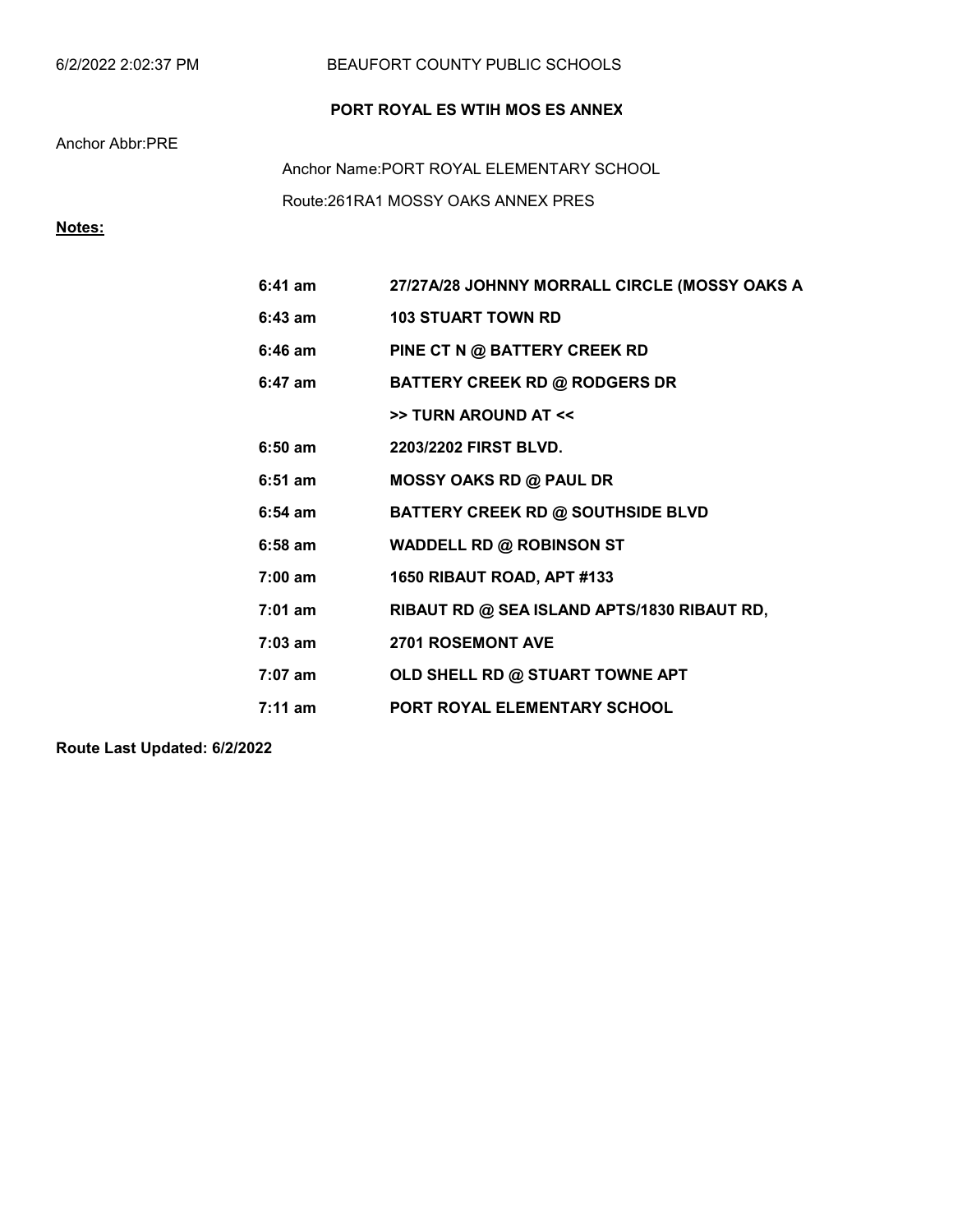| 6/2/2022 2:02:37 PM |  |  |
|---------------------|--|--|
|---------------------|--|--|

### BEAUFORT COUNTY PUBLIC SCHOOLS

## PORT ROYAL ES WTIH MOS ES ANNEX

### Anchor Abbr:PRE

Route:261RA1 MOSSY OAKS ANNEX PRES Anchor Name:PORT ROYAL ELEMENTARY SCHOOL

## Notes:

| $6:41$ am         | 27/27A/28 JOHNNY MORRALL CIRCLE (MOSSY OAKS A |
|-------------------|-----------------------------------------------|
| $6:43$ am         | <b>103 STUART TOWN RD</b>                     |
| $6:46$ am         | PINE CT N @ BATTERY CREEK RD                  |
| $6:47$ am         | <b>BATTERY CREEK RD @ RODGERS DR</b>          |
|                   | >> TURN AROUND AT <<                          |
| $6:50$ am         | 2203/2202 FIRST BLVD.                         |
| $6:51$ am         | <b>MOSSY OAKS RD @ PAUL DR</b>                |
| $6:54$ am         | <b>BATTERY CREEK RD @ SOUTHSIDE BLVD</b>      |
| $6:58$ am         | <b>WADDELL RD @ ROBINSON ST</b>               |
| $7:00 \text{ am}$ | 1650 RIBAUT ROAD, APT #133                    |
| $7:01$ am         | RIBAUT RD @ SEA ISLAND APTS/1830 RIBAUT RD,   |
| $7:03$ am         | <b>2701 ROSEMONT AVE</b>                      |
| $7:07$ am         | OLD SHELL RD @ STUART TOWNE APT               |
| $7:11 \text{ am}$ | <b>PORT ROYAL ELEMENTARY SCHOOL</b>           |

Route Last Updated: 6/2/2022